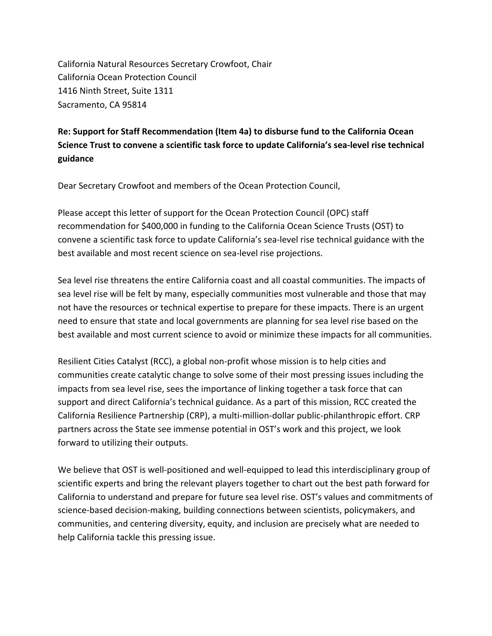California Natural Resources Secretary Crowfoot, Chair California Ocean Protection Council 1416 Ninth Street, Suite 1311 Sacramento, CA 95814

## **Re: Support for Staff Recommendation (Item 4a) to disburse fund to the California Ocean Science Trust to convene a scientific task force to update California's sea-level rise technical guidance**

Dear Secretary Crowfoot and members of the Ocean Protection Council,

 Please accept this letter of support for the Ocean Protection Council (OPC) staff recommendation for \$400,000 in funding to the California Ocean Science Trusts (OST) to convene a scientific task force to update California's sea-level rise technical guidance with the best available and most recent science on sea-level rise projections.

 Sea level rise threatens the entire California coast and all coastal communities. The impacts of sea level rise will be felt by many, especially communities most vulnerable and those that may not have the resources or technical expertise to prepare for these impacts. There is an urgent need to ensure that state and local governments are planning for sea level rise based on the best available and most current science to avoid or minimize these impacts for all communities.

 Resilient Cities Catalyst (RCC), a global non-profit whose mission is to help cities and communities create catalytic change to solve some of their most pressing issues including the impacts from sea level rise, sees the importance of linking together a task force that can support and direct California's technical guidance. As a part of this mission, RCC created the California Resilience Partnership (CRP), a multi-million-dollar public-philanthropic effort. CRP partners across the State see immense potential in OST's work and this project, we look forward to utilizing their outputs.

 We believe that OST is well-positioned and well-equipped to lead this interdisciplinary group of scientific experts and bring the relevant players together to chart out the best path forward for California to understand and prepare for future sea level rise. OST's values and commitments of science-based decision-making, building connections between scientists, policymakers, and communities, and centering diversity, equity, and inclusion are precisely what are needed to help California tackle this pressing issue.